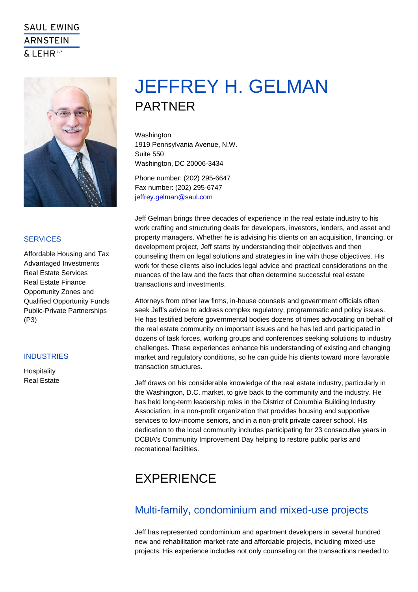# JEFFREY H. GELMAN PARTNER

Washington 1919 Pennsylvania Avenue, N.W. Suite 550 Washington, DC 20006-3434

Phone number: (202) 295-6647 Fax number: (202) 295-6747 [jeffrey.gelman@saul.com](mailto:jeffrey.gelman@saul.com)

Jeff Gelman brings three decades of experience in the real estate industry to his work crafting and structuring deals for developers, investors, lenders, and asset and property managers. Whether he is advising his clients on an acquisition, financing, or development project, Jeff starts by understanding their objectives and then counseling them on legal solutions and strategies in line with those objectives. His work for these clients also includes legal advice and practical considerations on the nuances of the law and the facts that often determine successful real estate transactions and investments.

Attorneys from other law firms, in-house counsels and government officials often seek Jeff's advice to address complex regulatory, programmatic and policy issues. He has testified before governmental bodies dozens of times advocating on behalf of the real estate community on important issues and he has led and participated in dozens of task forces, working groups and conferences seeking solutions to industry challenges. These experiences enhance his understanding of existing and changing market and regulatory conditions, so he can guide his clients toward more favorable transaction structures.

Jeff draws on his considerable knowledge of the real estate industry, particularly in the Washington, D.C. market, to give back to the community and the industry. He has held long-term leadership roles in the District of Columbia Building Industry Association, in a non-profit organization that provides housing and supportive services to low-income seniors, and in a non-profit private career school. His dedication to the local community includes participating for 23 consecutive years in DCBIA's Community Improvement Day helping to restore public parks and recreational facilities.

## EXPERIENCE

### Multi-family, condominium and mixed-use projects

Jeff has represented condominium and apartment developers in several hundred new and rehabilitation market-rate and affordable projects, including mixed-use projects. His experience includes not only counseling on the transactions needed to

#### **SERVICES**

Affordable Housing and Tax Advantaged Investments Real Estate Services Real Estate Finance Opportunity Zones and Qualified Opportunity Funds Public-Private Partnerships (P3)

#### **INDUSTRIES**

**Hospitality** Real Estate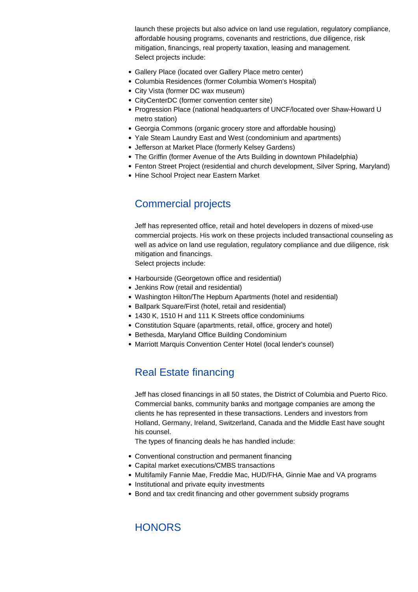launch these projects but also advice on land use regulation, regulatory compliance, affordable housing programs, covenants and restrictions, due diligence, risk mitigation, financings, real property taxation, leasing and management. Select projects include:

- Gallery Place (located over Gallery Place metro center)
- Columbia Residences (former Columbia Women's Hospital)
- City Vista (former DC wax museum)
- CityCenterDC (former convention center site)
- Progression Place (national headquarters of UNCF/located over Shaw-Howard U metro station)
- Georgia Commons (organic grocery store and affordable housing)
- Yale Steam Laundry East and West (condominium and apartments)
- Jefferson at Market Place (formerly Kelsey Gardens)
- The Griffin (former Avenue of the Arts Building in downtown Philadelphia)
- Fenton Street Project (residential and church development, Silver Spring, Maryland)
- Hine School Project near Eastern Market

### Commercial projects

Jeff has represented office, retail and hotel developers in dozens of mixed-use commercial projects. His work on these projects included transactional counseling as well as advice on land use regulation, regulatory compliance and due diligence, risk mitigation and financings.

Select projects include:

- Harbourside (Georgetown office and residential)
- Jenkins Row (retail and residential)
- Washington Hilton/The Hepburn Apartments (hotel and residential)
- Ballpark Square/First (hotel, retail and residential)
- 1430 K, 1510 H and 111 K Streets office condominiums
- Constitution Square (apartments, retail, office, grocery and hotel)
- Bethesda, Maryland Office Building Condominium
- Marriott Marquis Convention Center Hotel (local lender's counsel)

### Real Estate financing

Jeff has closed financings in all 50 states, the District of Columbia and Puerto Rico. Commercial banks, community banks and mortgage companies are among the clients he has represented in these transactions. Lenders and investors from Holland, Germany, Ireland, Switzerland, Canada and the Middle East have sought his counsel.

The types of financing deals he has handled include:

- Conventional construction and permanent financing
- Capital market executions/CMBS transactions
- Multifamily Fannie Mae, Freddie Mac, HUD/FHA, Ginnie Mae and VA programs
- Institutional and private equity investments
- Bond and tax credit financing and other government subsidy programs

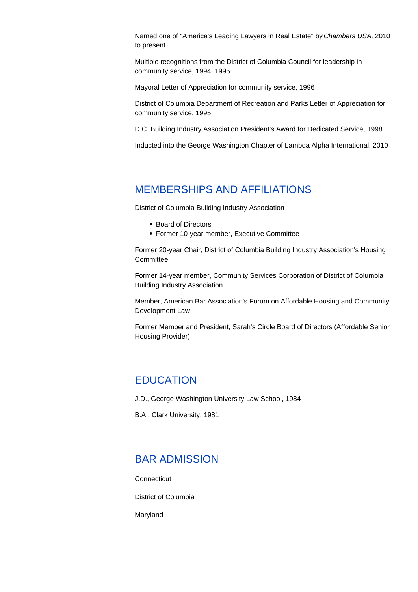Named one of "America's Leading Lawyers in Real Estate" by Chambers USA, 2010 to present

Multiple recognitions from the District of Columbia Council for leadership in community service, 1994, 1995

Mayoral Letter of Appreciation for community service, 1996

District of Columbia Department of Recreation and Parks Letter of Appreciation for community service, 1995

D.C. Building Industry Association President's Award for Dedicated Service, 1998

Inducted into the George Washington Chapter of Lambda Alpha International, 2010

#### MEMBERSHIPS AND AFFILIATIONS

District of Columbia Building Industry Association

- Board of Directors
- Former 10-year member, Executive Committee

Former 20-year Chair, District of Columbia Building Industry Association's Housing **Committee** 

Former 14-year member, Community Services Corporation of District of Columbia Building Industry Association

Member, American Bar Association's Forum on Affordable Housing and Community Development Law

Former Member and President, Sarah's Circle Board of Directors (Affordable Senior Housing Provider)

#### **EDUCATION**

J.D., George Washington University Law School, 1984

B.A., Clark University, 1981

#### BAR ADMISSION

**Connecticut** 

District of Columbia

Maryland